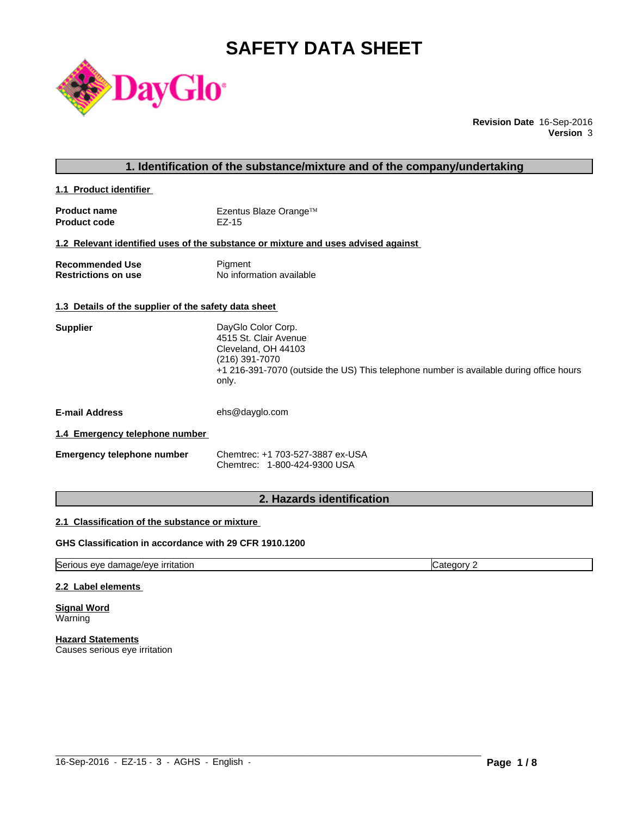# **SAFETY DATA SHEET**



**Revision Date** 16-Sep-2016 **Version** 3

# **1. Identification of the substance/mixture and of the company/undertaking**

**1.1 Product identifier** 

| <b>Product name</b> | Ezentus Blaze Orange™ |
|---------------------|-----------------------|
| <b>Product code</b> | EZ-15                 |

#### **1.2 Relevant identified uses of the substance or mixture and uses advised against**

| Recommended Use            | Pigment                  |
|----------------------------|--------------------------|
| <b>Restrictions on use</b> | No information available |

#### **1.3 Details of the supplier of the safety data sheet**

| DayGlo Color Corp.                                                                      |
|-----------------------------------------------------------------------------------------|
| 4515 St. Clair Avenue                                                                   |
| Cleveland, OH 44103                                                                     |
| (216) 391-7070                                                                          |
| +1 216-391-7070 (outside the US) This telephone number is available during office hours |
| only.                                                                                   |
|                                                                                         |

**E-mail Address** ehs@dayglo.com

#### **1.4 Emergency telephone number**

| Emergency telephone number | Chemtrec: +1 703-527-3887 ex-USA |
|----------------------------|----------------------------------|
|                            | Chemtrec: 1-800-424-9300 USA     |

# **2. Hazards identification**

#### **2.1 Classification of the substance or mixture**

### **GHS Classification in accordance with 29 CFR 1910.1200**

Serious eye damage/eye irritation Category 2

#### **2.2 Label elements**

**Signal Word Warning** 

**Hazard Statements** Causes serious eye irritation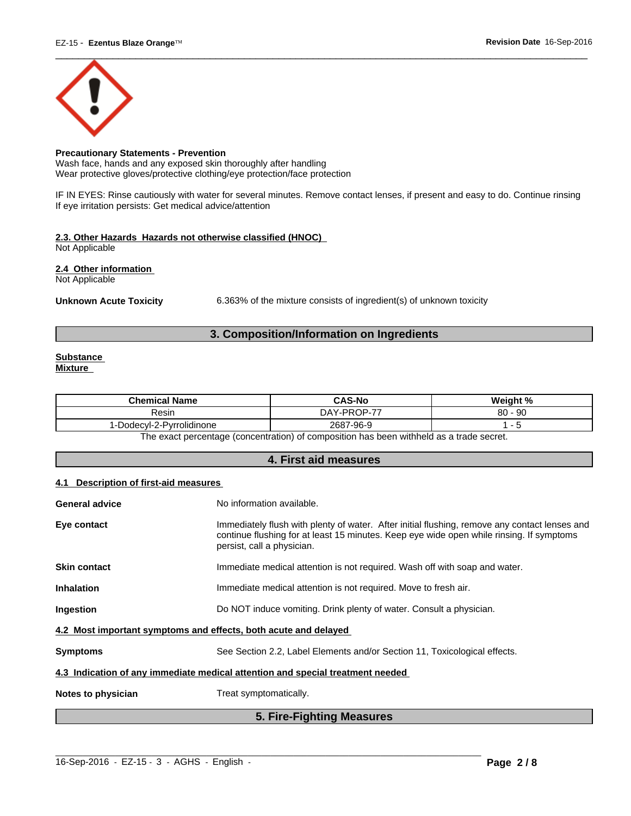

# **Precautionary Statements - Prevention**

Wash face, hands and any exposed skin thoroughly after handling Wear protective gloves/protective clothing/eye protection/face protection

IF IN EYES: Rinse cautiously with water for several minutes. Remove contact lenses, if present and easy to do. Continue rinsing If eye irritation persists: Get medical advice/attention

# **2.3. Other Hazards Hazards not otherwise classified (HNOC)**

Not Applicable

**2.4 Other information** 

Not Applicable

**Unknown Acute Toxicity** 6.363% of the mixture consists of ingredient(s) of unknown toxicity

# **3. Composition/Information on Ingredients**

#### **Substance Mixture**

| <b>Chemical Name</b>         | <b>CAS-No</b>         | Weight %               |
|------------------------------|-----------------------|------------------------|
| Resin                        | $1.1$ -PROP-77<br>DAY | $\Omega$<br>- 90<br>ου |
| Dodecyl-2-Pyrrolidinone<br>◡ | 2687<br>7-96-9        |                        |
| <u>_</u>                     | .<br>.<br>.           |                        |

The exact percentage (concentration) of composition has been withheld as a trade secret.

# **4. First aid measures**

# **4.1 Description of first-aid measures**

| <b>General advice</b>                                           | No information available.                                                                                                                                                                                               |  |
|-----------------------------------------------------------------|-------------------------------------------------------------------------------------------------------------------------------------------------------------------------------------------------------------------------|--|
| Eye contact                                                     | Immediately flush with plenty of water. After initial flushing, remove any contact lenses and<br>continue flushing for at least 15 minutes. Keep eye wide open while rinsing. If symptoms<br>persist, call a physician. |  |
| <b>Skin contact</b>                                             | Immediate medical attention is not required. Wash off with soap and water.                                                                                                                                              |  |
| <b>Inhalation</b>                                               | Immediate medical attention is not required. Move to fresh air.                                                                                                                                                         |  |
| Ingestion                                                       | Do NOT induce vomiting. Drink plenty of water. Consult a physician.                                                                                                                                                     |  |
| 4.2 Most important symptoms and effects, both acute and delayed |                                                                                                                                                                                                                         |  |
| <b>Symptoms</b>                                                 | See Section 2.2, Label Elements and/or Section 11, Toxicological effects.                                                                                                                                               |  |
|                                                                 | 4.3 Indication of any immediate medical attention and special treatment needed                                                                                                                                          |  |
| Notes to physician                                              | Treat symptomatically.                                                                                                                                                                                                  |  |
|                                                                 |                                                                                                                                                                                                                         |  |

# **5. Fire-Fighting Measures**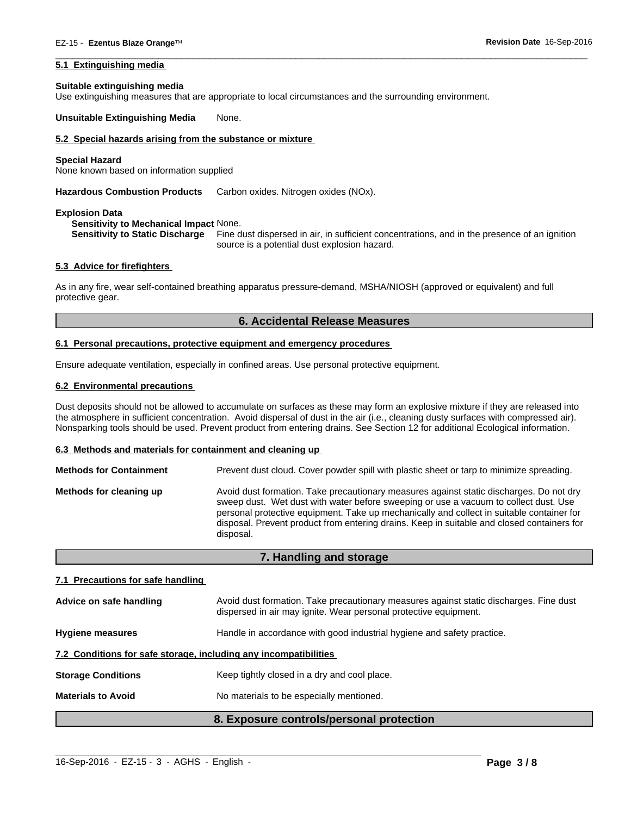#### **5.1 Extinguishing media**

#### **Suitable extinguishing media**

Use extinguishing measures that are appropriate to local circumstances and the surrounding environment.

**Unsuitable Extinguishing Media** None.

### **5.2 Special hazards arising from the substance or mixture**

#### **Special Hazard**

None known based on information supplied

**Hazardous Combustion Products** Carbon oxides. Nitrogen oxides (NOx).

#### **Explosion Data**

#### **Sensitivity to Mechanical Impact** None.

**Sensitivity to Static Discharge** Fine dust dispersed in air, in sufficient concentrations, and in the presence of an ignition source is a potential dust explosion hazard.

 $\overline{\phantom{a}}$  ,  $\overline{\phantom{a}}$  ,  $\overline{\phantom{a}}$  ,  $\overline{\phantom{a}}$  ,  $\overline{\phantom{a}}$  ,  $\overline{\phantom{a}}$  ,  $\overline{\phantom{a}}$  ,  $\overline{\phantom{a}}$  ,  $\overline{\phantom{a}}$  ,  $\overline{\phantom{a}}$  ,  $\overline{\phantom{a}}$  ,  $\overline{\phantom{a}}$  ,  $\overline{\phantom{a}}$  ,  $\overline{\phantom{a}}$  ,  $\overline{\phantom{a}}$  ,  $\overline{\phantom{a}}$ 

#### **5.3 Advice for firefighters**

As in any fire, wear self-contained breathing apparatus pressure-demand, MSHA/NIOSH (approved or equivalent) and full protective gear.

#### **6. Accidental Release Measures**

#### **6.1 Personal precautions, protective equipment and emergency procedures**

Ensure adequate ventilation, especially in confined areas. Use personal protective equipment.

#### **6.2 Environmental precautions**

Dust deposits should not be allowed to accumulate on surfaces as these may form an explosive mixture if they are released into the atmosphere in sufficient concentration. Avoid dispersal of dust in the air (i.e., cleaning dusty surfaces with compressed air). Nonsparking tools should be used. Prevent product from entering drains. See Section 12 for additional Ecological information.

#### **6.3 Methods and materials for containment and cleaning up**

| <b>Methods for Containment</b> | Prevent dust cloud. Cover powder spill with plastic sheet or tarp to minimize spreading.                                                                                                                                                                                                                                                                                                |
|--------------------------------|-----------------------------------------------------------------------------------------------------------------------------------------------------------------------------------------------------------------------------------------------------------------------------------------------------------------------------------------------------------------------------------------|
| Methods for cleaning up        | Avoid dust formation. Take precautionary measures against static discharges. Do not dry<br>sweep dust. Wet dust with water before sweeping or use a vacuum to collect dust. Use<br>personal protective equipment. Take up mechanically and collect in suitable container for<br>disposal. Prevent product from entering drains. Keep in suitable and closed containers for<br>disposal. |

#### **7. Handling and storage**

#### **7.1 Precautions for safe handling**

|                                                                                                   | 8. Exposure controls/personal protection                                                                                                                   |  |
|---------------------------------------------------------------------------------------------------|------------------------------------------------------------------------------------------------------------------------------------------------------------|--|
| <b>Materials to Avoid</b><br>No materials to be especially mentioned.                             |                                                                                                                                                            |  |
| <b>Storage Conditions</b>                                                                         | Keep tightly closed in a dry and cool place.                                                                                                               |  |
|                                                                                                   | 7.2 Conditions for safe storage, including any incompatibilities                                                                                           |  |
| Handle in accordance with good industrial hygiene and safety practice.<br><b>Hygiene measures</b> |                                                                                                                                                            |  |
| Advice on safe handling                                                                           | Avoid dust formation. Take precautionary measures against static discharges. Fine dust<br>dispersed in air may ignite. Wear personal protective equipment. |  |

 $\_$  ,  $\_$  ,  $\_$  ,  $\_$  ,  $\_$  ,  $\_$  ,  $\_$  ,  $\_$  ,  $\_$  ,  $\_$  ,  $\_$  ,  $\_$  ,  $\_$  ,  $\_$  ,  $\_$  ,  $\_$  ,  $\_$  ,  $\_$  ,  $\_$  ,  $\_$  ,  $\_$  ,  $\_$  ,  $\_$  ,  $\_$  ,  $\_$  ,  $\_$  ,  $\_$  ,  $\_$  ,  $\_$  ,  $\_$  ,  $\_$  ,  $\_$  ,  $\_$  ,  $\_$  ,  $\_$  ,  $\_$  ,  $\_$  ,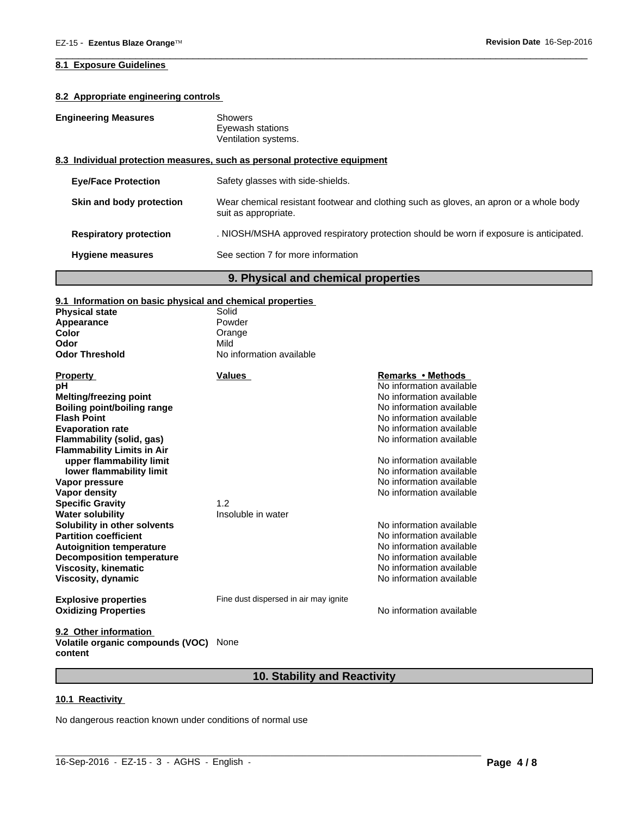# **8.2 Appropriate engineering controls**

| Showers |
|---------|
|         |

Eyewash stations Ventilation systems.

#### **8.3 Individual protection measures, such as personal protective equipment**

| <b>Hygiene measures</b>       | See section 7 for more information                                                                             |
|-------------------------------|----------------------------------------------------------------------------------------------------------------|
| <b>Respiratory protection</b> | . NIOSH/MSHA approved respiratory protection should be worn if exposure is anticipated.                        |
| Skin and body protection      | Wear chemical resistant footwear and clothing such as gloves, an apron or a whole body<br>suit as appropriate. |
| <b>Eye/Face Protection</b>    | Safety glasses with side-shields.                                                                              |

 $\overline{\phantom{a}}$  ,  $\overline{\phantom{a}}$  ,  $\overline{\phantom{a}}$  ,  $\overline{\phantom{a}}$  ,  $\overline{\phantom{a}}$  ,  $\overline{\phantom{a}}$  ,  $\overline{\phantom{a}}$  ,  $\overline{\phantom{a}}$  ,  $\overline{\phantom{a}}$  ,  $\overline{\phantom{a}}$  ,  $\overline{\phantom{a}}$  ,  $\overline{\phantom{a}}$  ,  $\overline{\phantom{a}}$  ,  $\overline{\phantom{a}}$  ,  $\overline{\phantom{a}}$  ,  $\overline{\phantom{a}}$ 

# **9. Physical and chemical properties**

# **9.1 Information on basic physical and chemical properties**

| <b>Physical state</b>                                         | Solid                                 |                          |
|---------------------------------------------------------------|---------------------------------------|--------------------------|
| Appearance                                                    | Powder                                |                          |
| Color                                                         | Orange                                |                          |
| Odor                                                          | Mild                                  |                          |
| <b>Odor Threshold</b>                                         | No information available              |                          |
| <b>Property</b>                                               | Values                                | Remarks • Methods        |
| рH                                                            |                                       | No information available |
| <b>Melting/freezing point</b>                                 |                                       | No information available |
| Boiling point/boiling range                                   |                                       | No information available |
| <b>Flash Point</b>                                            |                                       | No information available |
| <b>Evaporation rate</b>                                       |                                       | No information available |
| <b>Flammability (solid, gas)</b>                              |                                       | No information available |
| <b>Flammability Limits in Air</b><br>upper flammability limit |                                       | No information available |
| lower flammability limit                                      |                                       | No information available |
| Vapor pressure                                                |                                       | No information available |
| <b>Vapor density</b>                                          |                                       | No information available |
| <b>Specific Gravity</b>                                       | 1.2                                   |                          |
| <b>Water solubility</b>                                       | Insoluble in water                    |                          |
| Solubility in other solvents                                  |                                       | No information available |
| <b>Partition coefficient</b>                                  |                                       | No information available |
| <b>Autoignition temperature</b>                               |                                       | No information available |
| <b>Decomposition temperature</b>                              |                                       | No information available |
| <b>Viscosity, kinematic</b>                                   |                                       | No information available |
| Viscosity, dynamic                                            |                                       | No information available |
| <b>Explosive properties</b>                                   | Fine dust dispersed in air may ignite |                          |
| <b>Oxidizing Properties</b>                                   |                                       | No information available |
| 9.2 Other information                                         |                                       |                          |

**Volatile organic compounds (VOC)** None **content**

# **10. Stability and Reactivity**

#### **10.1 Reactivity**

No dangerous reaction known under conditions of normal use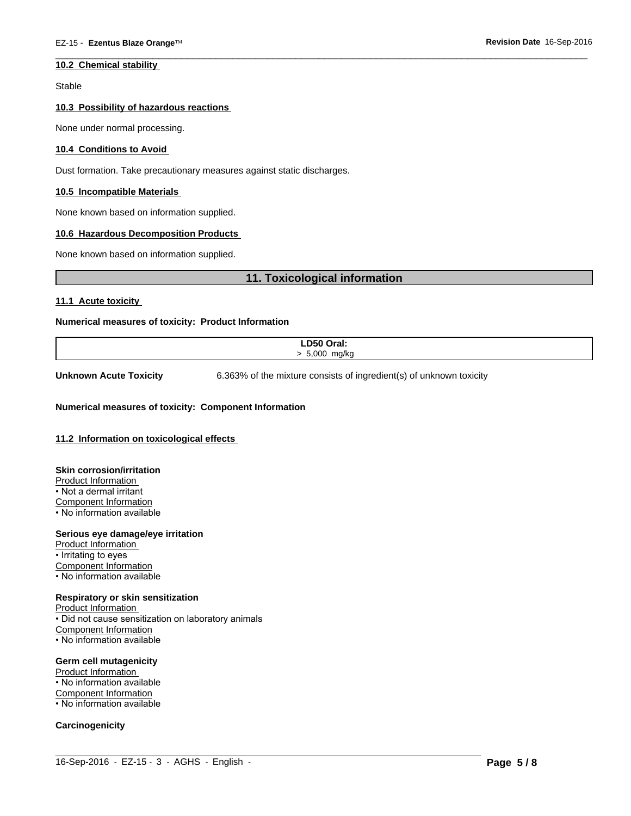#### **10.2 Chemical stability**

Stable

#### **10.3 Possibility of hazardous reactions**

None under normal processing.

#### **10.4 Conditions to Avoid**

Dust formation. Take precautionary measures against static discharges.

#### **10.5 Incompatible Materials**

None known based on information supplied.

#### **10.6 Hazardous Decomposition Products**

None known based on information supplied.

# **11. Toxicological information**

**11.1 Acute toxicity** 

#### **Numerical measures of toxicity: Product Information**

| D50 Oral:                    |
|------------------------------|
| . J 000 n.<br>m <sub>0</sub> |
|                              |

 $\_$  ,  $\_$  ,  $\_$  ,  $\_$  ,  $\_$  ,  $\_$  ,  $\_$  ,  $\_$  ,  $\_$  ,  $\_$  ,  $\_$  ,  $\_$  ,  $\_$  ,  $\_$  ,  $\_$  ,  $\_$  ,  $\_$  ,  $\_$  ,  $\_$  ,  $\_$  ,  $\_$  ,  $\_$  ,  $\_$  ,  $\_$  ,  $\_$  ,  $\_$  ,  $\_$  ,  $\_$  ,  $\_$  ,  $\_$  ,  $\_$  ,  $\_$  ,  $\_$  ,  $\_$  ,  $\_$  ,  $\_$  ,  $\_$  ,

**Unknown Acute Toxicity** 6.363% of the mixture consists of ingredient(s) of unknown toxicity

 $\overline{\phantom{a}}$  ,  $\overline{\phantom{a}}$  ,  $\overline{\phantom{a}}$  ,  $\overline{\phantom{a}}$  ,  $\overline{\phantom{a}}$  ,  $\overline{\phantom{a}}$  ,  $\overline{\phantom{a}}$  ,  $\overline{\phantom{a}}$  ,  $\overline{\phantom{a}}$  ,  $\overline{\phantom{a}}$  ,  $\overline{\phantom{a}}$  ,  $\overline{\phantom{a}}$  ,  $\overline{\phantom{a}}$  ,  $\overline{\phantom{a}}$  ,  $\overline{\phantom{a}}$  ,  $\overline{\phantom{a}}$ 

#### **Numerical measures of toxicity: Component Information**

#### **11.2 Information on toxicological effects**

**Skin corrosion/irritation** Product Information • Not a dermal irritant Component Information • No information available

#### **Serious eye damage/eye irritation**

Product Information • Irritating to eyes Component Information • No information available

#### **Respiratory or skin sensitization**

Product Information • Did not cause sensitization on laboratory animals Component Information • No information available

#### **Germ cell mutagenicity**

Product Information • No information available Component Information • No information available

#### **Carcinogenicity**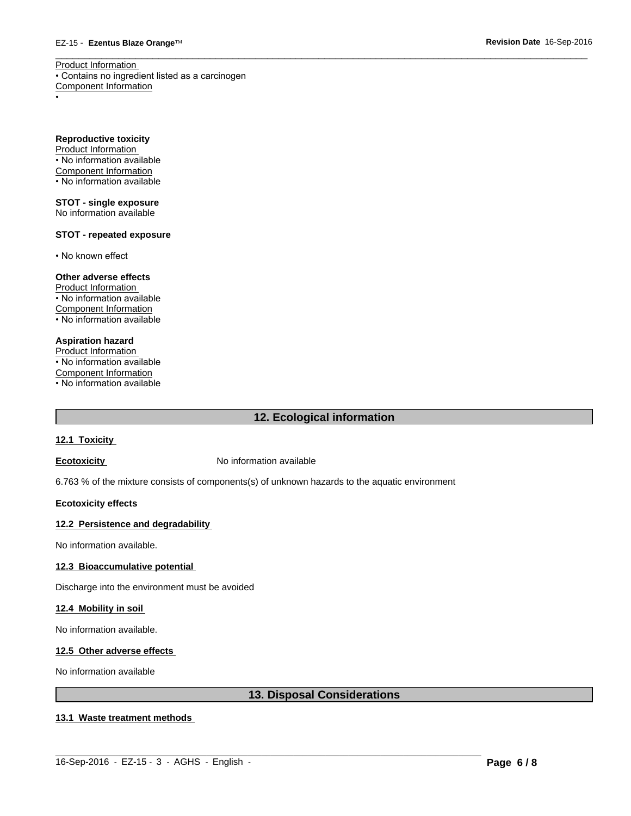$\overline{\phantom{a}}$  ,  $\overline{\phantom{a}}$  ,  $\overline{\phantom{a}}$  ,  $\overline{\phantom{a}}$  ,  $\overline{\phantom{a}}$  ,  $\overline{\phantom{a}}$  ,  $\overline{\phantom{a}}$  ,  $\overline{\phantom{a}}$  ,  $\overline{\phantom{a}}$  ,  $\overline{\phantom{a}}$  ,  $\overline{\phantom{a}}$  ,  $\overline{\phantom{a}}$  ,  $\overline{\phantom{a}}$  ,  $\overline{\phantom{a}}$  ,  $\overline{\phantom{a}}$  ,  $\overline{\phantom{a}}$ Product Information • Contains no ingredient listed as a carcinogen Component Information

• Production of the contract of the contract of the contract of the contract of the contract of the contract of

**Reproductive toxicity** Product Information • No information available

Component Information • No information available

**STOT - single exposure** No information available

### **STOT - repeated exposure**

• No known effect

### **Other adverse effects**

Product Information • No information available Component Information • No information available

# **Aspiration hazard**

Product Information • No information available Component Information

• No information available

# **12. Ecological information**

#### **12.1 Toxicity**

**Ecotoxicity No information available** 

6.763 % of the mixture consists of components(s) of unknown hazards to the aquatic environment

#### **Ecotoxicity effects**

#### **12.2 Persistence and degradability**

No information available.

### **12.3 Bioaccumulative potential**

Discharge into the environment must be avoided

#### **12.4 Mobility in soil**

No information available.

#### **12.5 Other adverse effects**

No information available

# **13. Disposal Considerations**

#### **13.1 Waste treatment methods**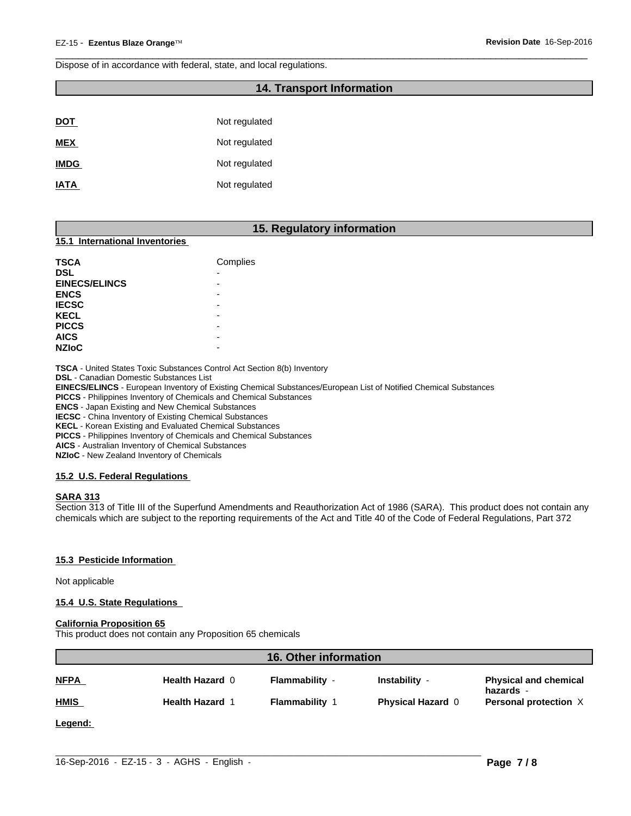Dispose of in accordance with federal, state, and local regulations.

# **14. Transport Information**

 $\overline{\phantom{a}}$  ,  $\overline{\phantom{a}}$  ,  $\overline{\phantom{a}}$  ,  $\overline{\phantom{a}}$  ,  $\overline{\phantom{a}}$  ,  $\overline{\phantom{a}}$  ,  $\overline{\phantom{a}}$  ,  $\overline{\phantom{a}}$  ,  $\overline{\phantom{a}}$  ,  $\overline{\phantom{a}}$  ,  $\overline{\phantom{a}}$  ,  $\overline{\phantom{a}}$  ,  $\overline{\phantom{a}}$  ,  $\overline{\phantom{a}}$  ,  $\overline{\phantom{a}}$  ,  $\overline{\phantom{a}}$ 

| <b>DOT</b>  | Not regulated |
|-------------|---------------|
| <b>MEX</b>  | Not regulated |
| <b>IMDG</b> | Not regulated |
| <b>IATA</b> | Not regulated |

### **15. Regulatory information**

#### **15.1 International Inventories**

| <b>TSCA</b>          | Complies |
|----------------------|----------|
| <b>DSL</b>           | -        |
| <b>EINECS/ELINCS</b> | ۰        |
| <b>ENCS</b>          | ۰        |
| <b>IECSC</b>         | ۰        |
| <b>KECL</b>          | -        |
| <b>PICCS</b>         | -        |
| <b>AICS</b>          | -        |
| <b>NZIOC</b>         | -        |

**TSCA** - United States Toxic Substances Control Act Section 8(b) Inventory

**DSL** - Canadian Domestic Substances List

**EINECS/ELINCS** - European Inventory of Existing Chemical Substances/European List of Notified Chemical Substances

**PICCS** - Philippines Inventory of Chemicals and Chemical Substances

**ENCS** - Japan Existing and New Chemical Substances

**IECSC** - China Inventory of Existing Chemical Substances

**KECL** - Korean Existing and Evaluated Chemical Substances

**PICCS** - Philippines Inventory of Chemicals and Chemical Substances

**AICS** - Australian Inventory of Chemical Substances

**NZIoC** - New Zealand Inventory of Chemicals

#### **15.2 U.S. Federal Regulations**

#### **SARA 313**

Section 313 of Title III of the Superfund Amendments and Reauthorization Act of 1986 (SARA). This product does not contain any chemicals which are subject to the reporting requirements of the Act and Title 40 of the Code of Federal Regulations, Part 372

#### **15.3 Pesticide Information**

Not applicable

#### **15.4 U.S. State Regulations**

#### **California Proposition 65**

This product does not contain any Proposition 65 chemicals

| <b>16. Other information</b> |                        |                       |                          |                                           |
|------------------------------|------------------------|-----------------------|--------------------------|-------------------------------------------|
| <b>NFPA</b>                  | Health Hazard 0        | Flammability -        | Instability -            | <b>Physical and chemical</b><br>hazards - |
| <b>HMIS</b>                  | <b>Health Hazard 1</b> | <b>Flammability 1</b> | <b>Physical Hazard 0</b> | Personal protection X                     |
| Legend:                      |                        |                       |                          |                                           |
|                              |                        |                       |                          |                                           |